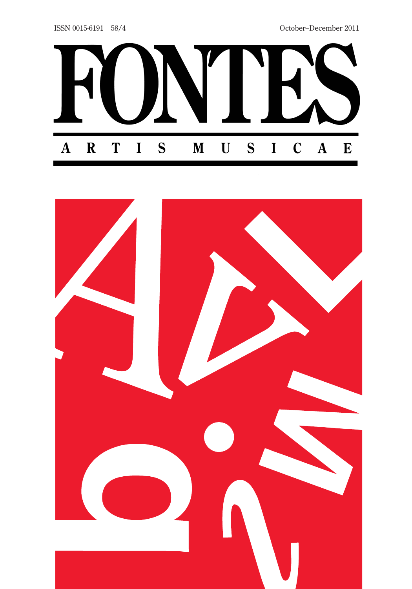

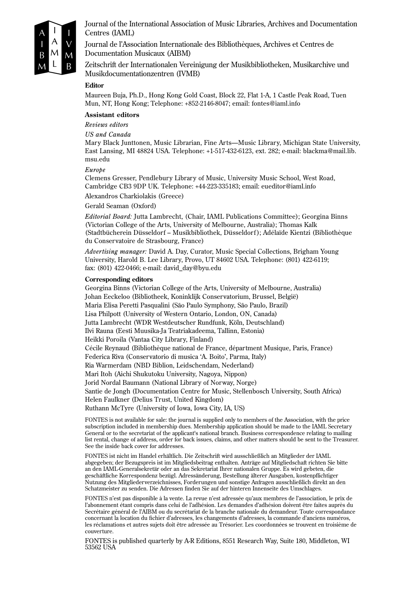

Journal of the International Association of Music Libraries, Archives and Documentation Centres (IAML)

Journal de l'Association Internationale des Bibliothèques, Archives et Centres de Documentation Musicaux (AIBM)

Zeitschrift der Internationalen Vereinigung der Musikbibliotheken, Musikarchive und Musikdocumentationzentren (IVMB)

#### **Editor**

Maureen Buja, Ph.D., Hong Kong Gold Coast, Block 22, Flat 1-A, 1 Castle Peak Road, Tuen Mun, NT, Hong Kong; Telephone: +852-2146-8047; email: fontes@iaml.info

#### **Assistant editors**

*Reviews editors*

*US and Canada*

Mary Black Junttonen, Music Librarian, Fine Arts—Music Library, Michigan State University, East Lansing, MI 48824 USA. Telephone: +1-517-432-6123, ext. 282; e-mail: blackma@mail.lib. msu.edu

#### *Europe*

Clemens Gresser, Pendlebury Library of Music, University Music School, West Road, Cambridge CB3 9DP UK. Telephone: +44-223-335183; email: eueditor@iaml.info

Alexandros Charkiolakis (Greece)

Gerald Seaman (Oxford)

*Editorial Board:* Jutta Lambrecht, (Chair, IAML Publications Committee); Georgina Binns (Victorian College of the Arts, University of Melbourne, Australia); Thomas Kalk (Stadtbücherein Düsseldorf – Musikbibliothek, Düsseldorf ); Adélaïde Kientzi (Bibliothèque du Conservatoire de Strasbourg, France)

*Advertising manager:* David A. Day, Curator, Music Special Collections, Brigham Young University, Harold B. Lee Library, Provo, UT 84602 USA. Telephone: (801) 422-6119; fax: (801) 422-0466; e-mail: david\_day@byu.edu

#### **Corresponding editors**

Georgina Binns (Victorian College of the Arts, University of Melbourne, Australia) Johan Eeckeloo (Bibliotheek, Koninklijk Conservatorium, Brussel, België) Maria Elisa Peretti Pasqualini (São Paulo Symphony, São Paulo, Brazil) Lisa Philpott (University of Western Ontario, London, ON, Canada) Jutta Lambrecht (WDR Westdeutscher Rundfunk, Köln, Deutschland) Ilvi Rauna (Eesti Muusika-Ja Teatriakadeema, Tallinn, Estonia) Heikki Poroila (Vantaa City Library, Finland) Cécile Reynaud (Bibliothèque national de France, départment Musique, Paris, France) Federica Riva (Conservatorio di musica 'A. Boito', Parma, Italy) Ria Warmerdam (NBD Biblion, Leidschendam, Nederland) Mari Itoh (Aichi Shukutoku University, Nagoya, Nippon) Jorid Nordal Baumann (National Library of Norway, Norge) Santie de Jongh (Documentation Centre for Music, Stellenbosch University, South Africa) Helen Faulkner (Delius Trust, United Kingdom) Ruthann McTyre (University of Iowa, Iowa City, IA, US)

FONTES is not available for sale: the journal is supplied only to members of the Association, with the price subscription included in membership dues. Membership application should be made to the IAML Secretary General or to the secretariat of the applicant's national branch. Business correspondence relating to mailing list rental, change of address, order for back issues, claims, and other matters should be sent to the Treasurer. See the inside back cover for addresses.

FONTES ist nicht im Handel erhältlich. Die Zeitschrift wird ausschließlich an Mitglieder der IAML abgegeben; der Bezugspreis ist im Mitgliedsbeitrag enthalten. Anträge auf Mitgliedschaft richten Sie bitte an den IAML-Generalsekretär oder an das Sekretariat Ihrer nationalen Gruppe. Es wird gebeten, die geschäftliche Korrespondenz bezügl. Adressänderung, Bestellung älterer Ausgaben, kostenpflichtiger Nutzung des Mitgliederverzeichnisses, Forderungen und sonstige Anfragen ausschließlich direkt an den Schatzmeister zu senden. Die Adressen finden Sie auf der hinteren Innenseite des Umschlages.

FONTES n'est pas disponible à la vente. La revue n'est adressée qu'aux membres de l'association, le prix de l'abonnement étant compris dans celui de l'adhésion. Les demandes d'adhésion doivent être faites auprès du Secrétaire général de l'AIBM ou du secrétariat de la branche nationale du demandeur. Toute correspondance concernant la location du fichier d'adresses, les changements d'adresses, la commande d'anciens numéros, les réclamations et autres sujets doit être adressée au Trésorier. Les coordonnées se trouvent en troisième de couverture.

FONTES is published quarterly by A-R Editions, 8551 Research Way, Suite 180, Middleton, WI 53562 USA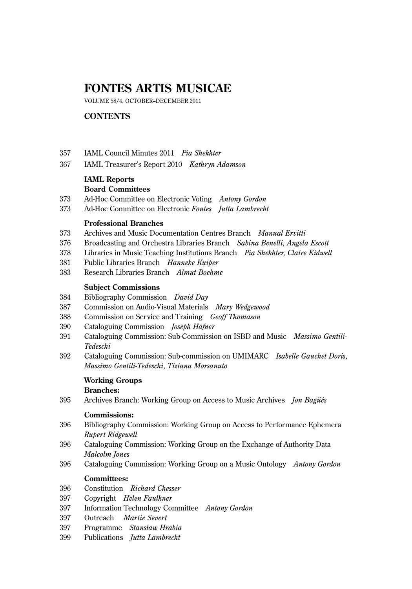# **FONTES ARTIS MUSICAE**

VOLUME 58/4, OCTOBER–DECEMBER 2011

# **CONTENTS**

- 357 IAML Council Minutes 2011 *Pia Shekhter*
- 367 IAML Treasurer's Report 2010 *Kathryn Adamson*

# **IAML Reports Board Committees**

- 373 Ad-Hoc Committee on Electronic Voting *Antony Gordon*
- 373 Ad-Hoc Committee on Electronic *Fontes Jutta Lambrecht*

#### **Professional Branches**

- 373 Archives and Music Documentation Centres Branch *Manual Ervitti*
- 376 Broadcasting and Orchestra Libraries Branch *Sabina Benelli, Angela Escott*
- 378 Libraries in Music Teaching Institutions Branch *Pia Shekhter, Claire Kidwell*
- 381 Public Libraries Branch *Hanneke Kuiper*
- 383 Research Libraries Branch *Almut Boehme*

#### **Subject Commissions**

- 384 Bibliography Commission *David Day*
- 387 Commission on Audio-Visual Materials *Mary Wedgewood*
- 388 Commission on Service and Training *Geoff Thomason*
- 390 Cataloguing Commission *Joseph Hafner*
- 391 Cataloguing Commission: Sub-Commission on ISBD and Music *Massimo Gentili-Tedeschi*
- 392 Cataloguing Commission: Sub-commission on UMIMARC *Isabelle Gauchet Doris, Massimo Gentili-Tedeschi, Tiziana Morsanuto*

# **Working Groups**

**Branches:**

395 Archives Branch: Working Group on Access to Music Archives *Jon Bagüés*

#### **Commissions:**

- 396 Bibliography Commission: Working Group on Access to Performance Ephemera *Rupert Ridgewell*
- 396 Cataloguing Commission: Working Group on the Exchange of Authority Data *Malcolm Jones*
- 396 Cataloguing Commission: Working Group on a Music Ontology *Antony Gordon*

#### **Committees:**

- 396 Constitution *Richard Chesser*
- 397 Copyright *Helen Faulkner*
- 397 Information Technology Committee *Antony Gordon*
- 397 Outreach *Martie Severt*
- 397 Programme *Stansław Hrabia*
- 399 Publications *Jutta Lambrecht*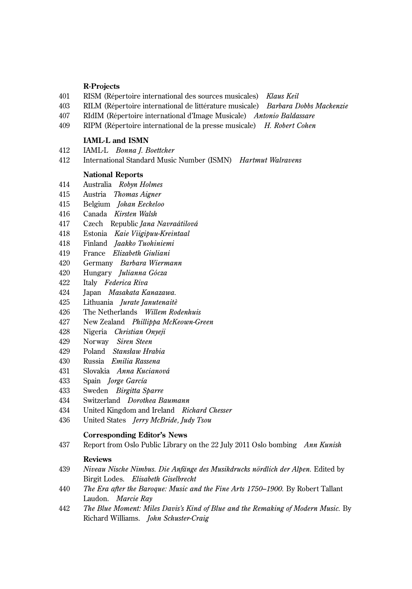#### **R-Projects**

- 401 RISM (Répertoire international des sources musicales) *Klaus Keil*
- 403 RILM (Répertoire international de littérature musicale) *Barbara Dobbs Mackenzie*
- 407 RIdIM (Répertoire international d'Image Musicale) *Antonio Baldassare*
- 409 RIPM (Répertoire international de la presse musicale) *H. Robert Cohen*

#### **IAML-L and ISMN**

- 412 IAML-L *Bonna J. Boettcher*
- 412 International Standard Music Number (ISMN) *Hartmut Walravens*

#### **National Reports**

- 414 Australia *Robyn Holmes*
- 415 Austria *Thomas Aigner*
- 415 Belgium *Johan Eeckeloo*
- 416 Canada *Kirsten Walsh*
- 417 Czech Republic *Jana Navraátilová*
- 418 Estonia *Kaie Viigipuu-Kreintaal*
- 418 Finland *Jaakko Tuohiniemi*
- 419 France *Elizabeth Giuliani*
- 420 Germany *Barbara Wiermann*
- 420 Hungary *Julianna Gócza*
- 422 Italy *Federica Riva*
- 424 Japan *Masakata Kanazawa.*
- 425 Lithuania *Jurate Janutenaitè*
- 426 The Netherlands *Willem Rodenhuis*
- 427 New Zealand *Phillippa McKeown-Green*
- 428 Nigeria *Christian Onyeji*
- 429 Norway *Siren Steen*
- 429 Poland *Stansław Hrabia*
- 430 Russia *Emilia Rassena*
- 431 Slovakia *Anna Kucianová*
- 433 Spain *Jorge García*
- 433 Sweden *Birgitta Sparre*
- 434 Switzerland *Dorothea Baumann*
- 434 United Kingdom and Ireland *Richard Chesser*
- 436 United States *Jerry McBride, Judy Tsou*

#### **Corresponding Editor's News**

437 Report from Oslo Public Library on the 22 July 2011 Oslo bombing *Ann Kunish* 

#### **Reviews**

- 439 *Niveau Nische Nimbus. Die Anfänge des Musikdrucks nördlich der Alpen.* Edited by Birgit Lodes. *Elisabeth Giselbrecht*
- 440 *The Era after the Baroque: Music and the Fine Arts 1750–1900.* By Robert Tallant Laudon. *Marcie Ray*
- 442 *The Blue Moment: Miles Davis's Kind of Blue and the Remaking of Modern Music.* By Richard Williams. *John Schuster-Craig*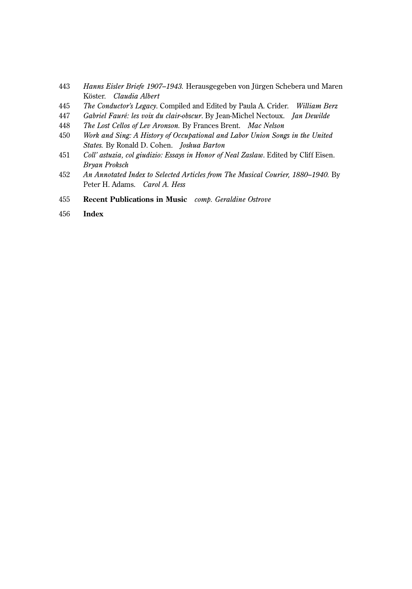- *Hanns Eisler Briefe 1907–1943.* Herausgegeben von Jürgen Schebera und Maren Köster. *Claudia Albert*
- *The Conductor's Legacy*. Compiled and Edited by Paula A. Crider. *William Berz*
- *Gabriel Fauré: les voix du clair-obscur*. By Jean-Michel Nectoux. *Jan Dewilde*
- *The Lost Cellos of Lev Aronson.* By Frances Brent. *Mac Nelson*
- *Work and Sing: A History of Occupational and Labor Union Songs in the United States.* By Ronald D. Cohen. *Joshua Barton*
- *Coll' astuzia, col giudizio: Essays in Honor of Neal Zaslaw*. Edited by Cliff Eisen. *Bryan Proksch*
- *An Annotated Index to Selected Articles from The Musical Courier, 1880–1940.* By Peter H. Adams. *Carol A. Hess*
- **Recent Publications in Music** *comp. Geraldine Ostrove*
- **Index**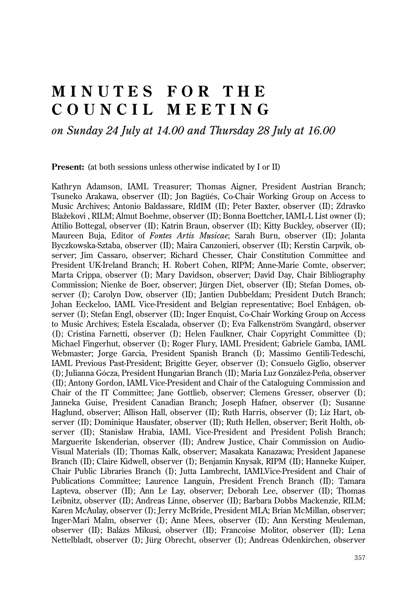# **MINUTES FOR THE COUNCIL MEETING**

# *on Sunday 24 July at 14.00 and Thursday 28 July at 16.00*

**Present:** (at both sessions unless otherwise indicated by I or II)

Kathryn Adamson, IAML Treasurer; Thomas Aigner, President Austrian Branch; Tsuneko Arakawa, observer (II); Jon Bagüés, Co-Chair Working Group on Access to Music Archives; Antonio Baldassare, RIdIM (II); Peter Baxter, observer (II); Zdravko Blažekovi , RILM; Almut Boehme, observer (II); Bonna Boettcher, IAML-L List owner (I); Attilio Bottegal, observer (II); Katrin Braun, observer (II); Kitty Buckley, observer (II); Maureen Buja, Editor of *Fontes Artis Musicae*; Sarah Burn, observer (II); Jolanta Byczkowska-Sztaba, observer (II); Maira Canzonieri, observer (II); Kerstin Carpvik, observer; Jim Cassaro, observer; Richard Chesser, Chair Constitution Committee and President UK-Ireland Branch; H. Robert Cohen, RIPM; Anne-Marie Comte, observer; Marta Crippa, observer (I); Mary Davidson, observer; David Day, Chair Bibliography Commission; Nienke de Boer, observer; Jürgen Diet, observer (II); Stefan Domes, observer (I); Carolyn Dow, observer (II); Jantien Dubbeldam; President Dutch Branch; Johan Eeckeloo, IAML Vice-President and Belgian representative; Boel Enbågen, observer (I); Stefan Engl, observer (II); Inger Enquist, Co-Chair Working Group on Access to Music Archives; Estela Escalada, observer (I); Eva Falkenström Svangård, observer (I); Cristina Farnetti, observer (I); Helen Faulkner, Chair Copyright Committee (I); Michael Fingerhut, observer (I); Roger Flury, IAML President; Gabriele Gamba, IAML Webmaster; Jorge Garcia, President Spanish Branch (I); Massimo Gentili-Tedeschi, IAML Previous Past-President; Brigitte Geyer, observer (I); Consuelo Giglio, observer (I); Julianna Gócza, President Hungarian Branch (II); Maria Luz González-Peña, observer (II); Antony Gordon, IAML Vice-President and Chair of the Cataloguing Commission and Chair of the IT Committee; Jane Gottlieb, observer; Clemens Gresser, observer (I); Janneka Guise, President Canadian Branch; Joseph Hafner, observer (I); Susanne Haglund, observer; Allison Hall, observer (II); Ruth Harris, observer (I); Liz Hart, observer (II); Dominique Hausfater, observer (II); Ruth Hellen, observer; Berit Holth, observer (II); Stanisław Hrabia, IAML Vice-President and President Polish Branch; Marguerite Iskenderian, observer (II); Andrew Justice, Chair Commission on Audio-Visual Materials (II); Thomas Kalk, observer; Masakata Kanazawa; President Japanese Branch (II); Claire Kidwell, observer (I); Benjamin Knysak, RIPM (II); Hanneke Kuiper, Chair Public Libraries Branch (I); Jutta Lambrecht, IAMLVice-President and Chair of Publications Committee; Laurence Languin, President French Branch (II); Tamara Lapteva, observer (II); Ann Le Lay, observer; Deborah Lee, observer (II); Thomas Leibnitz, observer (II); Andreas Linne, observer (II); Barbara Dobbs Mackenzie, RILM; Karen McAulay, observer (I); Jerry McBride, President MLA; Brian McMillan, observer; Inger-Mari Malm, observer (I); Anne Mees, observer (II); Ann Kersting Meuleman, observer (II); Balázs Mikusi, observer (II); Francoise Molitor, observer (II); Lena Nettelbladt, observer (I); Jürg Obrecht, observer (I); Andreas Odenkirchen, observer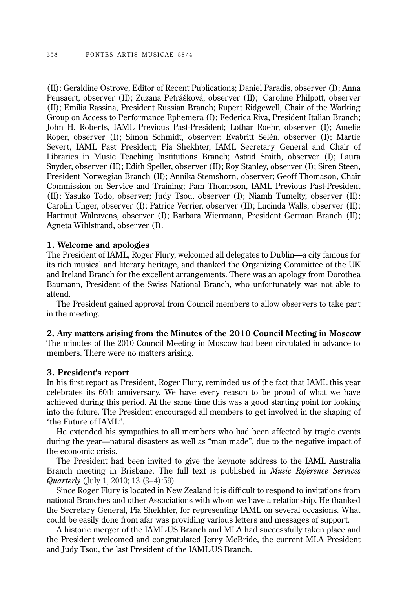(II); Geraldine Ostrove, Editor of Recent Publications; Daniel Paradis, observer (I); Anna Pensaert, observer (II); Zuzana Petrášková, observer (II); Caroline Philpott, observer (II); Emilia Rassina, President Russian Branch; Rupert Ridgewell, Chair of the Working Group on Access to Performance Ephemera (I); Federica Riva, President Italian Branch; John H. Roberts, IAML Previous Past-President; Lothar Roehr, observer (I); Amelie Roper, observer (I); Simon Schmidt, observer; Evabritt Selén, observer (I); Martie Severt, IAML Past President; Pia Shekhter, IAML Secretary General and Chair of Libraries in Music Teaching Institutions Branch; Astrid Smith, observer (I); Laura Snyder, observer (II); Edith Speller, observer (II); Roy Stanley, observer (I); Siren Steen, President Norwegian Branch (II); Annika Stemshorn, observer; Geoff Thomason, Chair Commission on Service and Training; Pam Thompson, IAML Previous Past-President (II); Yasuko Todo, observer; Judy Tsou, observer (I); Niamh Tumelty, observer (II); Carolin Unger, observer (I); Patrice Verrier, observer (II); Lucinda Walls, observer (II); Hartmut Walravens, observer (I); Barbara Wiermann, President German Branch (II); Agneta Wihlstrand, observer (I).

## **1. Welcome and apologies**

The President of IAML, Roger Flury, welcomed all delegates to Dublin—a city famous for its rich musical and literary heritage, and thanked the Organizing Committee of the UK and Ireland Branch for the excellent arrangements. There was an apology from Dorothea Baumann, President of the Swiss National Branch, who unfortunately was not able to attend.

The President gained approval from Council members to allow observers to take part in the meeting.

# **2. Any matters arising from the Minutes of the 2010 Council Meeting in Moscow** The minutes of the 2010 Council Meeting in Moscow had been circulated in advance to members. There were no matters arising.

#### **3. President's report**

In his first report as President, Roger Flury, reminded us of the fact that IAML this year celebrates its 60th anniversary. We have every reason to be proud of what we have achieved during this period. At the same time this was a good starting point for looking into the future. The President encouraged all members to get involved in the shaping of "the Future of IAML".

He extended his sympathies to all members who had been affected by tragic events during the year—natural disasters as well as "man made", due to the negative impact of the economic crisis.

The President had been invited to give the keynote address to the IAML Australia Branch meeting in Brisbane. The full text is published in *Music Reference Services Quarterly* (July 1, 2010; 13 (3–4):59)

Since Roger Flury is located in New Zealand it is difficult to respond to invitations from national Branches and other Associations with whom we have a relationship. He thanked the Secretary General, Pia Shekhter, for representing IAML on several occasions. What could be easily done from afar was providing various letters and messages of support.

A historic merger of the IAML-US Branch and MLA had successfully taken place and the President welcomed and congratulated Jerry McBride, the current MLA President and Judy Tsou, the last President of the IAML-US Branch.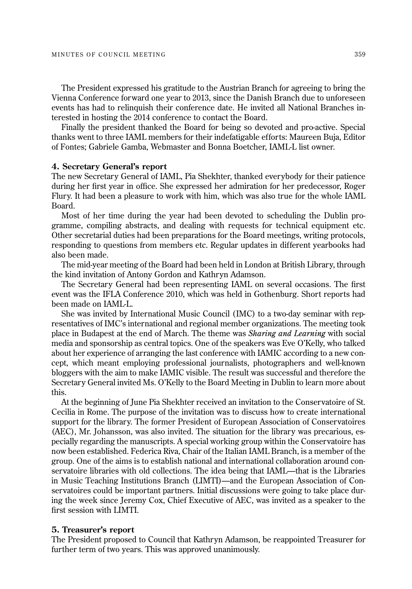The President expressed his gratitude to the Austrian Branch for agreeing to bring the Vienna Conference forward one year to 2013, since the Danish Branch due to unforeseen events has had to relinquish their conference date. He invited all National Branches interested in hosting the 2014 conference to contact the Board.

Finally the president thanked the Board for being so devoted and pro-active. Special thanks went to three IAML members for their indefatigable efforts: Maureen Buja, Editor of Fontes; Gabriele Gamba, Webmaster and Bonna Boetcher, IAML-L list owner.

#### **4. Secretary General's report**

The new Secretary General of IAML, Pia Shekhter, thanked everybody for their patience during her first year in office. She expressed her admiration for her predecessor, Roger Flury. It had been a pleasure to work with him, which was also true for the whole IAML Board.

Most of her time during the year had been devoted to scheduling the Dublin programme, compiling abstracts, and dealing with requests for technical equipment etc. Other secretarial duties had been preparations for the Board meetings, writing protocols, responding to questions from members etc. Regular updates in different yearbooks had also been made.

The mid-year meeting of the Board had been held in London at British Library, through the kind invitation of Antony Gordon and Kathryn Adamson.

The Secretary General had been representing IAML on several occasions. The first event was the IFLA Conference 2010, which was held in Gothenburg. Short reports had been made on IAML-L.

She was invited by International Music Council (IMC) to a two-day seminar with representatives of IMC's international and regional member organizations. The meeting took place in Budapest at the end of March. The theme was *Sharing and Learning* with social media and sponsorship as central topics. One of the speakers was Eve O'Kelly, who talked about her experience of arranging the last conference with IAMIC according to a new concept, which meant employing professional journalists, photographers and well-known bloggers with the aim to make IAMIC visible. The result was successful and therefore the Secretary General invited Ms. O'Kelly to the Board Meeting in Dublin to learn more about this.

At the beginning of June Pia Shekhter received an invitation to the Conservatoire of St. Cecilia in Rome. The purpose of the invitation was to discuss how to create international support for the library. The former President of European Association of Conservatoires (AEC), Mr. Johansson, was also invited. The situation for the library was precarious, especially regarding the manuscripts. A special working group within the Conservatoire has now been established. Federica Riva, Chair of the Italian IAML Branch, is a member of the group. One of the aims is to establish national and international collaboration around conservatoire libraries with old collections. The idea being that IAML—that is the Libraries in Music Teaching Institutions Branch (LIMTI)—and the European Association of Conservatoires could be important partners. Initial discussions were going to take place during the week since Jeremy Cox, Chief Executive of AEC, was invited as a speaker to the first session with LIMTI.

# **5. Treasurer's report**

The President proposed to Council that Kathryn Adamson, be reappointed Treasurer for further term of two years. This was approved unanimously.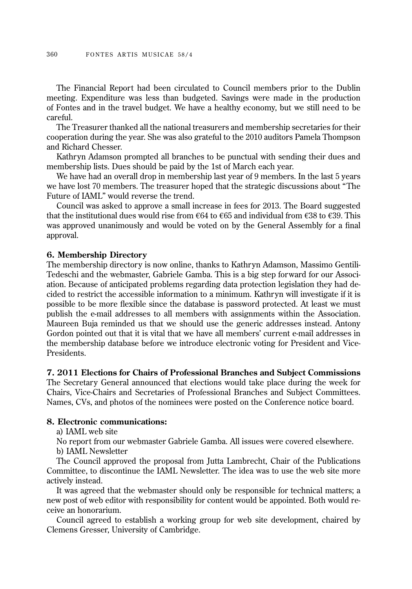The Financial Report had been circulated to Council members prior to the Dublin meeting. Expenditure was less than budgeted. Savings were made in the production of Fontes and in the travel budget. We have a healthy economy, but we still need to be careful.

The Treasurer thanked all the national treasurers and membership secretaries for their cooperation during the year. She was also grateful to the 2010 auditors Pamela Thompson and Richard Chesser.

Kathryn Adamson prompted all branches to be punctual with sending their dues and membership lists. Dues should be paid by the 1st of March each year.

We have had an overall drop in membership last year of 9 members. In the last 5 years we have lost 70 members. The treasurer hoped that the strategic discussions about "The Future of IAML" would reverse the trend.

Council was asked to approve a small increase in fees for 2013. The Board suggested that the institutional dues would rise from  $\epsilon$ 64 to  $\epsilon$ 65 and individual from  $\epsilon$ 38 to  $\epsilon$ 39. This was approved unanimously and would be voted on by the General Assembly for a final approval.

#### **6. Membership Directory**

The membership directory is now online, thanks to Kathryn Adamson, Massimo Gentili-Tedeschi and the webmaster, Gabriele Gamba. This is a big step forward for our Associ ation. Because of anticipated problems regarding data protection legislation they had decided to restrict the accessible information to a minimum. Kathryn will investigate if it is possible to be more flexible since the database is password protected. At least we must publish the e-mail addresses to all members with assignments within the Association. Maureen Buja reminded us that we should use the generic addresses instead. Antony Gordon pointed out that it is vital that we have all members' current e-mail addresses in the membership database before we introduce electronic voting for President and Vice-Presidents.

#### **7. 2011 Elections for Chairs of Professional Branches and Subject Commissions**

The Secretary General announced that elections would take place during the week for Chairs, Vice-Chairs and Secretaries of Professional Branches and Subject Committees. Names, CVs, and photos of the nominees were posted on the Conference notice board.

#### **8. Electronic communications:**

a) IAML web site

No report from our webmaster Gabriele Gamba. All issues were covered elsewhere. b) IAML Newsletter

The Council approved the proposal from Jutta Lambrecht, Chair of the Publications Committee, to discontinue the IAML Newsletter. The idea was to use the web site more actively instead.

It was agreed that the webmaster should only be responsible for technical matters; a new post of web editor with responsibility for content would be appointed. Both would receive an honorarium.

Council agreed to establish a working group for web site development, chaired by Clemens Gresser, University of Cambridge.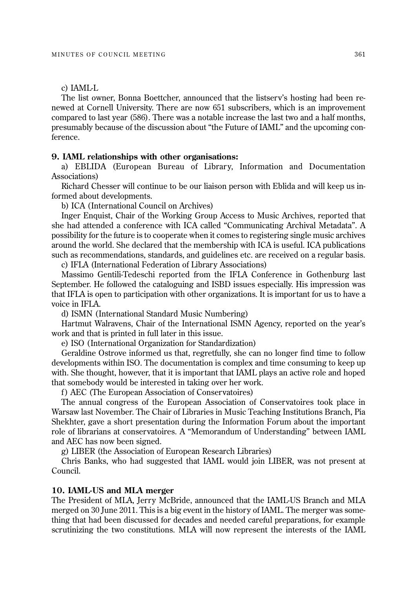# c) IAML-L

The list owner, Bonna Boettcher, announced that the listserv's hosting had been renewed at Cornell University. There are now 651 subscribers, which is an improvement compared to last year (586). There was a notable increase the last two and a half months, presumably because of the discussion about "the Future of IAML" and the upcoming conference.

#### **9. IAML relationships with other organisations:**

a) EBLIDA (European Bureau of Library, Information and Documentation Associations)

Richard Chesser will continue to be our liaison person with Eblida and will keep us informed about developments.

b) ICA (International Council on Archives)

Inger Enquist, Chair of the Working Group Access to Music Archives, reported that she had attended a conference with ICA called "Communicating Archival Metadata". A possibility for the future is to cooperate when it comes to registering single music archives around the world. She declared that the membership with ICA is useful. ICA publications such as recommendations, standards, and guidelines etc. are received on a regular basis.

c) IFLA (International Federation of Library Associations)

Massimo Gentili-Tedeschi reported from the IFLA Conference in Gothenburg last September. He followed the cataloguing and ISBD issues especially. His impression was that IFLA is open to participation with other organizations. It is important for us to have a voice in IFLA.

d) ISMN (International Standard Music Numbering)

Hartmut Walravens, Chair of the International ISMN Agency, reported on the year's work and that is printed in full later in this issue.

e) ISO (International Organization for Standardization)

Geraldine Ostrove informed us that, regretfully, she can no longer find time to follow developments within ISO. The documentation is complex and time consuming to keep up with. She thought, however, that it is important that IAML plays an active role and hoped that somebody would be interested in taking over her work.

f ) AEC (The European Association of Conservatoires)

The annual congress of the European Association of Conservatoires took place in Warsaw last November. The Chair of Libraries in Music Teaching Institutions Branch, Pia Shekhter, gave a short presentation during the Information Forum about the important role of librarians at conservatoires. A "Memorandum of Understanding" between IAML and AEC has now been signed.

g) LIBER (the Association of European Research Libraries)

Chris Banks, who had suggested that IAML would join LIBER, was not present at Council.

#### **10. IAML-US and MLA merger**

The President of MLA, Jerry McBride, announced that the IAML-US Branch and MLA merged on 30 June 2011. This is a big event in the history of IAML. The merger was something that had been discussed for decades and needed careful preparations, for example scrutinizing the two constitutions. MLA will now represent the interests of the IAML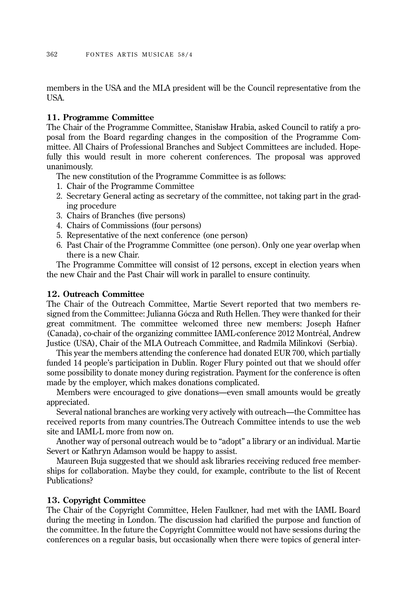members in the USA and the MLA president will be the Council representative from the USA.

# **11. Programme Committee**

The Chair of the Programme Committee, Stanisław Hrabia, asked Council to ratify a proposal from the Board regarding changes in the composition of the Programme Com mittee. All Chairs of Professional Branches and Subject Committees are included. Hopefully this would result in more coherent conferences. The proposal was approved unanimously.

The new constitution of the Programme Committee is as follows:

- 1. Chair of the Programme Committee
- 2. Secretary General acting as secretary of the committee, not taking part in the grading procedure
- 3. Chairs of Branches (five persons)
- 4. Chairs of Commissions (four persons)
- 5. Representative of the next conference (one person)
- 6. Past Chair of the Programme Committee (one person). Only one year overlap when there is a new Chair.

The Programme Committee will consist of 12 persons, except in election years when the new Chair and the Past Chair will work in parallel to ensure continuity.

# **12. Outreach Committee**

The Chair of the Outreach Committee, Martie Severt reported that two members resigned from the Committee: Julianna Gócza and Ruth Hellen. They were thanked for their great commitment. The committee welcomed three new members: Joseph Hafner (Canada), co-chair of the organizing committee IAML-conference 2012 Montréal, Andrew Justice (USA), Chair of the MLA Outreach Committee, and Radmila Milinkovi (Serbia).

This year the members attending the conference had donated EUR 700, which partially funded 14 people's participation in Dublin. Roger Flury pointed out that we should offer some possibility to donate money during registration. Payment for the conference is often made by the employer, which makes donations complicated.

Members were encouraged to give donations—even small amounts would be greatly appreciated.

Several national branches are working very actively with outreach—the Committee has received reports from many countries.The Outreach Committee intends to use the web site and IAML-L more from now on.

Another way of personal outreach would be to "adopt" a library or an individual. Martie Severt or Kathryn Adamson would be happy to assist.

Maureen Buja suggested that we should ask libraries receiving reduced free memberships for collaboration. Maybe they could, for example, contribute to the list of Recent Publications?

# **13. Copyright Committee**

The Chair of the Copyright Committee, Helen Faulkner, had met with the IAML Board during the meeting in London. The discussion had clarified the purpose and function of the committee. In the future the Copyright Committee would not have sessions during the conferences on a regular basis, but occasionally when there were topics of general inter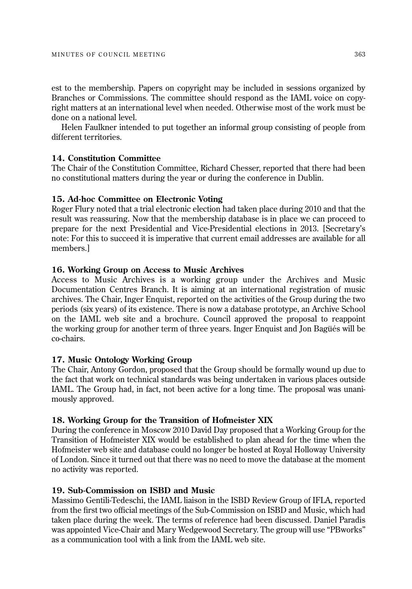est to the membership. Papers on copyright may be included in sessions organized by Branches or Commissions. The committee should respond as the IAML voice on copyright matters at an international level when needed. Otherwise most of the work must be done on a national level.

Helen Faulkner intended to put together an informal group consisting of people from different territories.

# **14. Constitution Committee**

The Chair of the Constitution Committee, Richard Chesser, reported that there had been no constitutional matters during the year or during the conference in Dublin.

# **15. Ad-hoc Committee on Electronic Voting**

Roger Flury noted that a trial electronic election had taken place during 2010 and that the result was reassuring. Now that the membership database is in place we can proceed to prepare for the next Presidential and Vice-Presidential elections in 2013. [Secretary's note: For this to succeed it is imperative that current email addresses are available for all members.]

# **16. Working Group on Access to Music Archives**

Access to Music Archives is a working group under the Archives and Music Documentation Centres Branch. It is aiming at an international registration of music archives. The Chair, Inger Enquist, reported on the activities of the Group during the two periods (six years) of its existence. There is now a database prototype, an Archive School on the IAML web site and a brochure. Council approved the proposal to reappoint the working group for another term of three years. Inger Enquist and Jon Bagüés will be co-chairs.

# **17. Music Ontology Working Group**

The Chair, Antony Gordon, proposed that the Group should be formally wound up due to the fact that work on technical standards was being undertaken in various places outside IAML. The Group had, in fact, not been active for a long time. The proposal was unanimously approved.

# **18. Working Group for the Transition of Hofmeister XIX**

During the conference in Moscow 2010 David Day proposed that a Working Group for the Transition of Hofmeister XIX would be established to plan ahead for the time when the Hofmeister web site and database could no longer be hosted at Royal Holloway University of London. Since it turned out that there was no need to move the database at the moment no activity was reported.

# **19. Sub-Commission on ISBD and Music**

Massimo Gentili-Tedeschi, the IAML liaison in the ISBD Review Group of IFLA, reported from the first two official meetings of the Sub-Commission on ISBD and Music, which had taken place during the week. The terms of reference had been discussed. Daniel Paradis was appointed Vice-Chair and Mary Wedgewood Secretary. The group will use "PBworks" as a communication tool with a link from the IAML web site.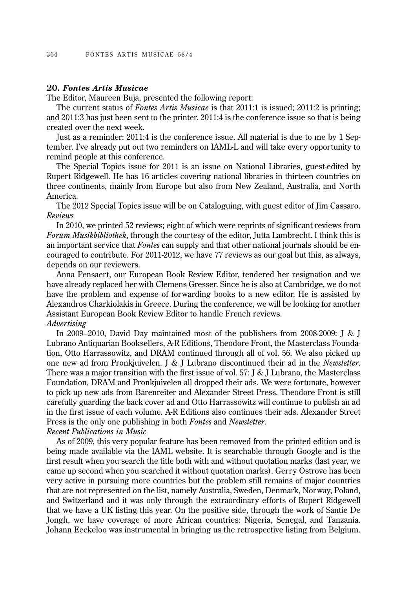# **20.** *Fontes Artis Musicae*

The Editor, Maureen Buja, presented the following report:

The current status of *Fontes Artis Musicae* is that 2011:1 is issued; 2011:2 is printing; and 2011:3 has just been sent to the printer. 2011:4 is the conference issue so that is being created over the next week.

Just as a reminder: 2011:4 is the conference issue. All material is due to me by 1 Septem ber. I've already put out two reminders on IAML-L and will take every opportunity to remind people at this conference.

The Special Topics issue for 2011 is an issue on National Libraries, guest-edited by Rupert Ridgewell. He has 16 articles covering national libraries in thirteen countries on three continents, mainly from Europe but also from New Zealand, Australia, and North America.

The 2012 Special Topics issue will be on Cataloguing, with guest editor of Jim Cassaro. *Reviews*

In 2010, we printed 52 reviews; eight of which were reprints of significant reviews from *Forum Musikbibliothek*, through the courtesy of the editor, Jutta Lambrecht. I think this is an important service that *Fontes* can supply and that other national journals should be encouraged to contribute. For 2011-2012, we have 77 reviews as our goal but this, as always, depends on our reviewers.

Anna Pensaert, our European Book Review Editor, tendered her resignation and we have already replaced her with Clemens Gresser. Since he is also at Cambridge, we do not have the problem and expense of forwarding books to a new editor. He is assisted by Alexandros Charkiolakis in Greece. During the conference, we will be looking for another Assistant European Book Review Editor to handle French reviews. *Advertising* 

In 2009–2010, David Day maintained most of the publishers from 2008-2009: J & J Lubrano Antiquarian Booksellers, A-R Editions, Theodore Front, the Masterclass Founda tion, Otto Harrassowitz, and DRAM continued through all of vol. 56. We also picked up one new ad from Pronkjuivelen. J & J Lubrano discontinued their ad in the *Newsletter*. There was a major transition with the first issue of vol. 57: J & J Lubrano, the Masterclass Foundation, DRAM and Pronkjuivelen all dropped their ads. We were fortunate, however to pick up new ads from Bärenreiter and Alexander Street Press. Theodore Front is still carefully guarding the back cover ad and Otto Harrassowitz will continue to publish an ad in the first issue of each volume. A-R Editions also continues their ads. Alexander Street Press is the only one publishing in both *Fontes* and *Newsletter*.

*Recent Publications in Music*

As of 2009, this very popular feature has been removed from the printed edition and is being made available via the IAML website. It is searchable through Google and is the first result when you search the title both with and without quotation marks (last year, we came up second when you searched it without quotation marks). Gerry Ostrove has been very active in pursuing more countries but the problem still remains of major countries that are not represented on the list, namely Australia, Sweden, Denmark, Norway, Poland, and Switzerland and it was only through the extraordinary efforts of Rupert Ridgewell that we have a UK listing this year. On the positive side, through the work of Santie De Jongh, we have coverage of more African countries: Nigeria, Senegal, and Tanzania. Johann Eeckeloo was instrumental in bringing us the retrospective listing from Belgium.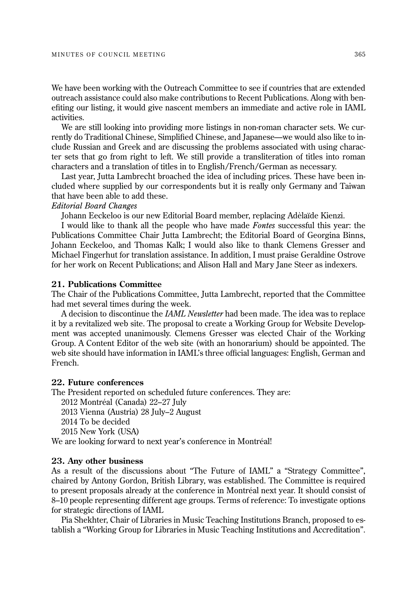We have been working with the Outreach Committee to see if countries that are extended outreach assistance could also make contributions to Recent Publications. Along with benefiting our listing, it would give nascent members an immediate and active role in IAML activities.

We are still looking into providing more listings in non-roman character sets. We currently do Traditional Chinese, Simplified Chinese, and Japanese—we would also like to include Russian and Greek and are discussing the problems associated with using character sets that go from right to left. We still provide a transliteration of titles into roman characters and a translation of titles in to English/French/German as necessary.

Last year, Jutta Lambrecht broached the idea of including prices. These have been included where supplied by our correspondents but it is really only Germany and Taiwan that have been able to add these.

#### *Editorial Board Changes*

Johann Eeckeloo is our new Editorial Board member, replacing Adèlaïde Kienzi.

I would like to thank all the people who have made *Fontes* successful this year: the Publications Committee Chair Jutta Lambrecht; the Editorial Board of Georgina Binns, Johann Eeckeloo, and Thomas Kalk; I would also like to thank Clemens Gresser and Michael Fingerhut for translation assistance. In addition, I must praise Geraldine Ostrove for her work on Recent Publications; and Alison Hall and Mary Jane Steer as indexers.

# **21. Publications Committee**

The Chair of the Publications Committee, Jutta Lambrecht, reported that the Committee had met several times during the week.

A decision to discontinue the *IAML Newsletter* had been made. The idea was to replace it by a revitalized web site. The proposal to create a Working Group for Website Development was accepted unanimously. Clemens Gresser was elected Chair of the Working Group. A Content Editor of the web site (with an honorarium) should be appointed. The web site should have information in IAML's three official languages: English, German and French.

# **22. Future conferences**

The President reported on scheduled future conferences. They are:

2012 Montréal (Canada) 22–27 July

2013 Vienna (Austria) 28 July–2 August

2014 To be decided

2015 New York (USA)

We are looking forward to next year's conference in Montréal!

#### **23. Any other business**

As a result of the discussions about "The Future of IAML" a "Strategy Committee", chaired by Antony Gordon, British Library, was established. The Committee is required to present proposals already at the conference in Montréal next year. It should consist of 8–10 people representing different age groups. Terms of reference: To investigate options for strategic directions of IAML

Pia Shekhter, Chair of Libraries in Music Teaching Institutions Branch, proposed to establish a "Working Group for Libraries in Music Teaching Institutions and Accreditation".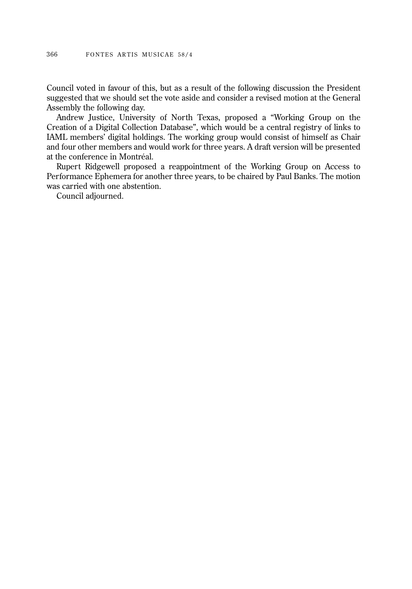Council voted in favour of this, but as a result of the following discussion the President suggested that we should set the vote aside and consider a revised motion at the General Assembly the following day.

Andrew Justice, University of North Texas, proposed a "Working Group on the Creation of a Digital Collection Database", which would be a central registry of links to IAML members' digital holdings. The working group would consist of himself as Chair and four other members and would work for three years. A draft version will be presented at the conference in Montréal.

Rupert Ridgewell proposed a reappointment of the Working Group on Access to Performance Ephemera for another three years, to be chaired by Paul Banks. The motion was carried with one abstention.

Council adjourned.